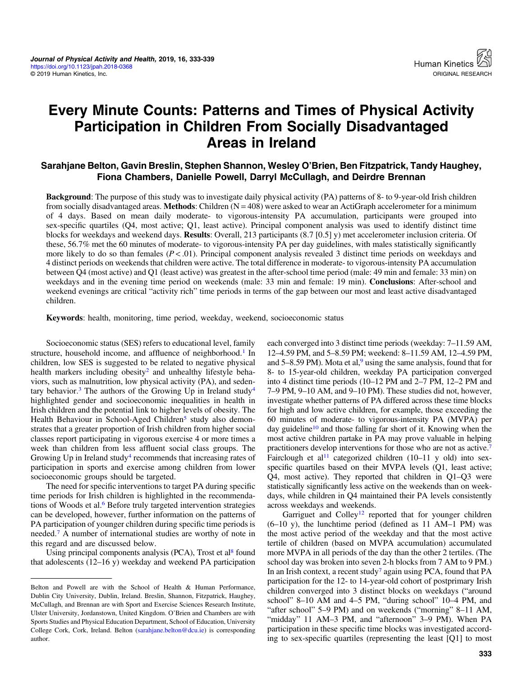# Every Minute Counts: Patterns and Times of Physical Activity Participation in Children From Socially Disadvantaged Areas in Ireland

# Sarahjane Belton, Gavin Breslin, Stephen Shannon, Wesley O'Brien, Ben Fitzpatrick, Tandy Haughey, Fiona Chambers, Danielle Powell, Darryl McCullagh, and Deirdre Brennan

Background: The purpose of this study was to investigate daily physical activity (PA) patterns of 8- to 9-year-old Irish children from socially disadvantaged areas. Methods: Children  $(N = 408)$  were asked to wear an ActiGraph accelerometer for a minimum of 4 days. Based on mean daily moderate- to vigorous-intensity PA accumulation, participants were grouped into sex-specific quartiles (Q4, most active; Q1, least active). Principal component analysis was used to identify distinct time blocks for weekdays and weekend days. Results: Overall, 213 participants (8.7 [0.5] y) met accelerometer inclusion criteria. Of these, 56.7% met the 60 minutes of moderate- to vigorous-intensity PA per day guidelines, with males statistically significantly more likely to do so than females  $(P < .01)$ . Principal component analysis revealed 3 distinct time periods on weekdays and 4 distinct periods on weekends that children were active. The total difference in moderate- to vigorous-intensity PA accumulation between Q4 (most active) and Q1 (least active) was greatest in the after-school time period (male: 49 min and female: 33 min) on weekdays and in the evening time period on weekends (male: 33 min and female: 19 min). Conclusions: After-school and weekend evenings are critical "activity rich" time periods in terms of the gap between our most and least active disadvantaged children.

Keywords: health, monitoring, time period, weekday, weekend, socioeconomic status

Socioeconomic status (SES) refers to educational level, family structure, household income, and affluence of neighborhood.<sup>[1](#page-5-0)</sup> In children, low SES is suggested to be related to negative physical health markers including obesity<sup>[2](#page-5-0)</sup> and unhealthy lifestyle behaviors, such as malnutrition, low physical activity (PA), and seden-tary behavior.<sup>[3](#page-5-0)</sup> The authors of the Growing Up in Ireland study<sup>4</sup> highlighted gender and socioeconomic inequalities in health in Irish children and the potential link to higher levels of obesity. The Health Behaviour in School-Aged Children<sup>5</sup> study also demonstrates that a greater proportion of Irish children from higher social classes report participating in vigorous exercise 4 or more times a week than children from less affluent social class groups. The Growing Up in Ireland study<sup>4</sup> recommends that increasing rates of participation in sports and exercise among children from lower socioeconomic groups should be targeted.

The need for specific interventions to target PA during specific time periods for Irish children is highlighted in the recommendations of Woods et al.<sup>6</sup> Before truly targeted intervention strategies can be developed, however, further information on the patterns of PA participation of younger children during specific time periods is needed.[7](#page-5-0) A number of international studies are worthy of note in this regard and are discussed below.

Using principal components analysis (PCA), Trost et al<sup>8</sup> found that adolescents (12–16 y) weekday and weekend PA participation each converged into 3 distinct time periods (weekday: 7–11.59 AM, 12–4.59 PM, and 5–8.59 PM; weekend: 8–11.59 AM, 12–4.59 PM, and  $5-8.59$  $5-8.59$  PM). Mota et al,<sup>9</sup> using the same analysis, found that for 8- to 15-year-old children, weekday PA participation converged into 4 distinct time periods (10–12 PM and 2–7 PM, 12–2 PM and 7–9 PM, 9–10 AM, and 9–10 PM). These studies did not, however, investigate whether patterns of PA differed across these time blocks for high and low active children, for example, those exceeding the 60 minutes of moderate- to vigorous-intensity PA (MVPA) per day guideline<sup>10</sup> and those falling far short of it. Knowing when the most active children partake in PA may prove valuable in helping practitioners develop interventions for those who are not as active[.7](#page-5-0) Fairclough et al<sup>[11](#page-6-0)</sup> categorized children (10–11 y old) into sexspecific quartiles based on their MVPA levels (Q1, least active; Q4, most active). They reported that children in Q1–Q3 were statistically significantly less active on the weekends than on weekdays, while children in Q4 maintained their PA levels consistently across weekdays and weekends.

Garriguet and Colley<sup>[12](#page-6-0)</sup> reported that for younger children (6–10 y), the lunchtime period (defined as 11 AM–1 PM) was the most active period of the weekday and that the most active tertile of children (based on MVPA accumulation) accumulated more MVPA in all periods of the day than the other 2 tertiles. (The school day was broken into seven 2-h blocks from 7 AM to 9 PM.) In an Irish context, a recent study<sup>[7](#page-5-0)</sup> again using PCA, found that PA participation for the 12- to 14-year-old cohort of postprimary Irish children converged into 3 distinct blocks on weekdays ("around school" 8–10 AM and 4–5 PM, "during school" 10–4 PM, and "after school" 5–9 PM) and on weekends ("morning" 8–11 AM, "midday" 11 AM-3 PM, and "afternoon" 3-9 PM). When PA participation in these specific time blocks was investigated according to sex-specific quartiles (representing the least [Q1] to most

Belton and Powell are with the School of Health & Human Performance, Dublin City University, Dublin, Ireland. Breslin, Shannon, Fitzpatrick, Haughey, McCullagh, and Brennan are with Sport and Exercise Sciences Research Institute, Ulster University, Jordanstown, United Kingdom. O'Brien and Chambers are with Sports Studies and Physical Education Department, School of Education, University College Cork, Cork, Ireland. Belton [\(sarahjane.belton@dcu.ie](mailto:sarahjane.belton@dcu.ie)) is corresponding author.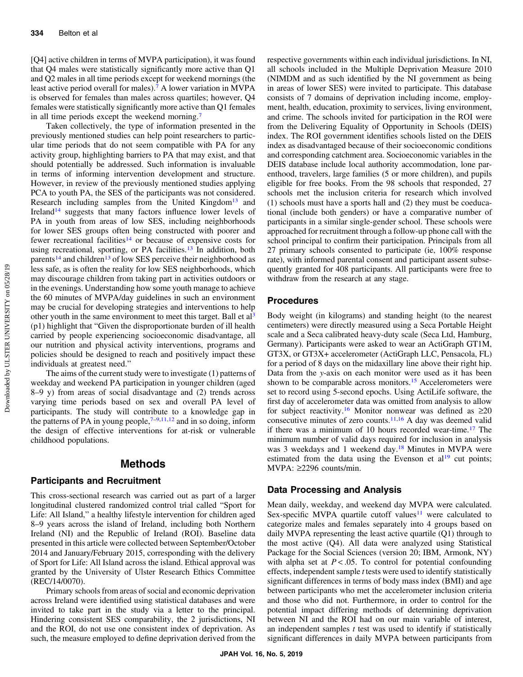[Q4] active children in terms of MVPA participation), it was found that Q4 males were statistically significantly more active than Q1 and Q2 males in all time periods except for weekend mornings (the least active period overall for males)[.7](#page-5-0) A lower variation in MVPA is observed for females than males across quartiles; however, Q4 females were statistically significantly more active than Q1 females in all time periods except the weekend morning.[7](#page-5-0)

Taken collectively, the type of information presented in the previously mentioned studies can help point researchers to particular time periods that do not seem compatible with PA for any activity group, highlighting barriers to PA that may exist, and that should potentially be addressed. Such information is invaluable in terms of informing intervention development and structure. However, in review of the previously mentioned studies applying PCA to youth PA, the SES of the participants was not considered. Research including samples from the United Kingdom<sup>[13](#page-6-0)</sup> and Ireland<sup>[14](#page-6-0)</sup> suggests that many factors influence lower levels of PA in youth from areas of low SES, including neighborhoods for lower SES groups often being constructed with poorer and fewer recreational facilities<sup>14</sup> or because of expensive costs for using recreational, sporting, or PA facilities.<sup>[13](#page-6-0)</sup> In addition, both parents<sup>[14](#page-6-0)</sup> and children<sup>[13](#page-6-0)</sup> of low SES perceive their neighborhood as less safe, as is often the reality for low SES neighborhoods, which may discourage children from taking part in activities outdoors or in the evenings. Understanding how some youth manage to achieve the 60 minutes of MVPA/day guidelines in such an environment may be crucial for developing strategies and interventions to help other youth in the same environment to meet this target. Ball et al<sup>3</sup> (p1) highlight that "Given the disproportionate burden of ill health carried by people experiencing socioeconomic disadvantage, all our nutrition and physical activity interventions, programs and policies should be designed to reach and positively impact these individuals at greatest need."

The aims of the current study were to investigate (1) patterns of weekday and weekend PA participation in younger children (aged 8–9 y) from areas of social disadvantage and (2) trends across varying time periods based on sex and overall PA level of participants. The study will contribute to a knowledge gap in the patterns of PA in young people, $7-9,11,12$  $7-9,11,12$  $7-9,11,12$  $7-9,11,12$  and in so doing, inform the design of effective interventions for at-risk or vulnerable childhood populations.

# Methods

#### Participants and Recruitment

This cross-sectional research was carried out as part of a larger longitudinal clustered randomized control trial called "Sport for Life: All Island," a healthy lifestyle intervention for children aged 8–9 years across the island of Ireland, including both Northern Ireland (NI) and the Republic of Ireland (ROI). Baseline data presented in this article were collected between September/October 2014 and January/February 2015, corresponding with the delivery of Sport for Life: All Island across the island. Ethical approval was granted by the University of Ulster Research Ethics Committee (REC/14/0070).

Primary schools from areas of social and economic deprivation across Ireland were identified using statistical databases and were invited to take part in the study via a letter to the principal. Hindering consistent SES comparability, the 2 jurisdictions, NI and the ROI, do not use one consistent index of deprivation. As such, the measure employed to define deprivation derived from the

respective governments within each individual jurisdictions. In NI, all schools included in the Multiple Deprivation Measure 2010 (NIMDM and as such identified by the NI government as being in areas of lower SES) were invited to participate. This database consists of 7 domains of deprivation including income, employment, health, education, proximity to services, living environment, and crime. The schools invited for participation in the ROI were from the Delivering Equality of Opportunity in Schools (DEIS) index. The ROI government identifies schools listed on the DEIS index as disadvantaged because of their socioeconomic conditions and corresponding catchment area. Socioeconomic variables in the DEIS database include local authority accommodation, lone parenthood, travelers, large families (5 or more children), and pupils eligible for free books. From the 98 schools that responded, 27 schools met the inclusion criteria for research which involved (1) schools must have a sports hall and (2) they must be coeducational (include both genders) or have a comparative number of participants in a similar single-gender school. These schools were approached for recruitment through a follow-up phone call with the school principal to confirm their participation. Principals from all 27 primary schools consented to participate (ie, 100% response rate), with informed parental consent and participant assent subsequently granted for 408 participants. All participants were free to withdraw from the research at any stage.

#### Procedures

Body weight (in kilograms) and standing height (to the nearest centimeters) were directly measured using a Seca Portable Height scale and a Seca calibrated heavy-duty scale (Seca Ltd, Hamburg, Germany). Participants were asked to wear an ActiGraph GT1M, GT3X, or GT3X+ accelerometer (ActiGraph LLC, Pensacola, FL) for a period of 8 days on the midaxillary line above their right hip. Data from the y-axis on each monitor were used as it has been shown to be comparable across monitors.<sup>15</sup> Accelerometers were set to record using 5-second epochs. Using ActiLife software, the first day of accelerometer data was omitted from analysis to allow for subject reactivity.<sup>[16](#page-6-0)</sup> Monitor nonwear was defined as  $\geq 20$ consecutive minutes of zero counts[.11](#page-6-0),[16](#page-6-0) A day was deemed valid if there was a minimum of 10 hours recorded wear-time.[17](#page-6-0) The minimum number of valid days required for inclusion in analysis was 3 weekdays and 1 weekend day.<sup>18</sup> Minutes in MVPA were estimated from the data using the Evenson et  $al<sup>19</sup>$  $al<sup>19</sup>$  $al<sup>19</sup>$  cut points; MVPA: ≥2296 counts/min.

#### Data Processing and Analysis

Mean daily, weekday, and weekend day MVPA were calculated. Sex-specific MVPA quartile cutoff values<sup>[11](#page-6-0)</sup> were calculated to categorize males and females separately into 4 groups based on daily MVPA representing the least active quartile (Q1) through to the most active (Q4). All data were analyzed using Statistical Package for the Social Sciences (version 20; IBM, Armonk, NY) with alpha set at  $P < .05$ . To control for potential confounding effects, independent sample t tests were used to identify statistically significant differences in terms of body mass index (BMI) and age between participants who met the accelerometer inclusion criteria and those who did not. Furthermore, in order to control for the potential impact differing methods of determining deprivation between NI and the ROI had on our main variable of interest, an independent samples  $t$  test was used to identify if statistically significant differences in daily MVPA between participants from

Downloaded by ULSTER UNIVERSITY on 05/28/19 Downloaded by ULSTER UNIVERSITY on 05/28/19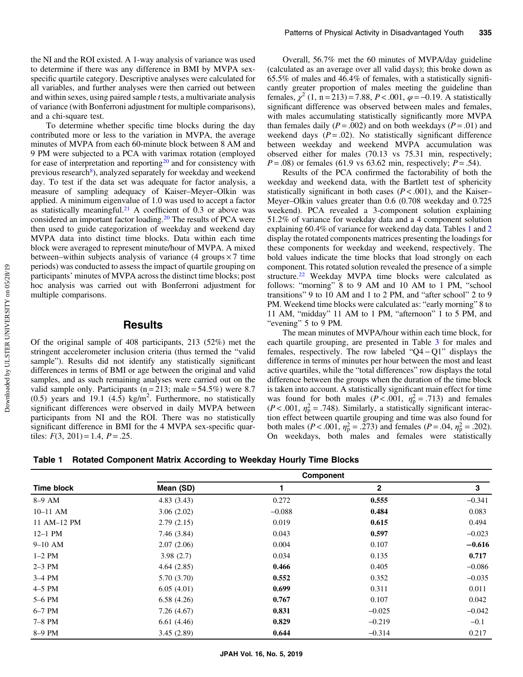the NI and the ROI existed. A 1-way analysis of variance was used to determine if there was any difference in BMI by MVPA sexspecific quartile category. Descriptive analyses were calculated for all variables, and further analyses were then carried out between and within sexes, using paired sample t tests, a multivariate analysis of variance (with Bonferroni adjustment for multiple comparisons), and a chi-square test.

To determine whether specific time blocks during the day contributed more or less to the variation in MVPA, the average minutes of MVPA from each 60-minute block between 8 AM and 9 PM were subjected to a PCA with varimax rotation (employed for ease of interpretation and reporting<sup>[20](#page-6-0)</sup> and for consistency with previous research<sup>8</sup>), analyzed separately for weekday and weekend day. To test if the data set was adequate for factor analysis, a measure of sampling adequacy of Kaiser–Meyer–Olkin was applied. A minimum eigenvalue of 1.0 was used to accept a factor as statistically meaningful.<sup>21</sup> A coefficient of  $0.3$  or above was considered an important factor loading.<sup>[20](#page-6-0)</sup> The results of PCA were then used to guide categorization of weekday and weekend day MVPA data into distinct time blocks. Data within each time block were averaged to represent minute/hour of MVPA. A mixed between–within subjects analysis of variance  $(4 \text{ groups} \times 7 \text{ time})$ periods) was conducted to assess the impact of quartile grouping on participants' minutes of MVPA across the distinct time blocks; post hoc analysis was carried out with Bonferroni adjustment for multiple comparisons.

#### Results

Of the original sample of 408 participants, 213 (52%) met the stringent accelerometer inclusion criteria (thus termed the "valid sample"). Results did not identify any statistically significant differences in terms of BMI or age between the original and valid samples, and as such remaining analyses were carried out on the valid sample only. Participants ( $n = 213$ ; male = 54.5%) were 8.7  $(0.5)$  years and 19.1  $(4.5)$  kg/m<sup>2</sup>. Furthermore, no statistically significant differences were observed in daily MVPA between participants from NI and the ROI. There was no statistically significant difference in BMI for the 4 MVPA sex-specific quartiles:  $F(3, 201) = 1.4, P = .25.$ 

Overall, 56.7% met the 60 minutes of MVPA/day guideline (calculated as an average over all valid days); this broke down as 65.5% of males and 46.4% of females, with a statistically significantly greater proportion of males meeting the guideline than females,  $\chi^2$  (1, n = 213) = 7.88, P < .001,  $\varphi$  = -0.19. A statistically significant difference was observed between males and females, with males accumulating statistically significantly more MVPA than females daily ( $P = .002$ ) and on both weekdays ( $P = .01$ ) and weekend days  $(P = .02)$ . No statistically significant difference between weekday and weekend MVPA accumulation was observed either for males (70.13 vs 75.31 min, respectively;  $P = .08$ ) or females (61.9 vs 63.62 min, respectively;  $P = .54$ ).

Results of the PCA confirmed the factorability of both the weekday and weekend data, with the Bartlett test of sphericity statistically significant in both cases  $(P < .001)$ , and the Kaiser– Meyer–Olkin values greater than 0.6 (0.708 weekday and 0.725 weekend). PCA revealed a 3-component solution explaining 51.2% of variance for weekday data and a 4 component solution explaining 60.4% of variance for weekend day data. Tables 1 and [2](#page-3-0) display the rotated components matrices presenting the loadings for these components for weekday and weekend, respectively. The bold values indicate the time blocks that load strongly on each component. This rotated solution revealed the presence of a simple structure.[22](#page-6-0) Weekday MVPA time blocks were calculated as follows: "morning" 8 to 9 AM and 10 AM to 1 PM, "school transitions" 9 to 10 AM and 1 to 2 PM, and "after school" 2 to 9 PM. Weekend time blocks were calculated as: "early morning" 8 to 11 AM, "midday" 11 AM to 1 PM, "afternoon" 1 to 5 PM, and "evening" 5 to 9 PM.

The mean minutes of MVPA/hour within each time block, for each quartile grouping, are presented in Table [3](#page-4-0) for males and females, respectively. The row labeled "Q4 − Q1" displays the difference in terms of minutes per hour between the most and least active quartiles, while the "total differences" row displays the total difference between the groups when the duration of the time block is taken into account. A statistically significant main effect for time was found for both males ( $P < .001$ ,  $\eta_p^2 = .713$ ) and females  $(P < .001, \eta_{\rm p}^2 = .748)$ . Similarly, a statistically significant interaction effect between quartile grouping and time was also found for both males (P < .001,  $\eta_p^2 = .273$ ) and females (P = .04,  $\eta_p^2 = .202$ ). On weekdays, both males and females were statistically

Table 1 Rotated Component Matrix According to Weekday Hourly Time Blocks

|                   | <b>Component</b> |          |          |          |  |  |
|-------------------|------------------|----------|----------|----------|--|--|
| <b>Time block</b> | Mean (SD)        |          | 2        | 3        |  |  |
| 8–9 AM            | 4.83(3.43)       | 0.272    | 0.555    | $-0.341$ |  |  |
| $10-11$ AM        | 3.06(2.02)       | $-0.088$ | 0.484    | 0.083    |  |  |
| 11 AM-12 PM       | 2.79(2.15)       | 0.019    | 0.615    | 0.494    |  |  |
| $12-1$ PM         | 7.46 (3.84)      | 0.043    | 0.597    | $-0.023$ |  |  |
| $9 - 10$ AM       | 2.07(2.06)       | 0.004    | 0.107    | $-0.616$ |  |  |
| $1-2$ PM          | 3.98(2.7)        | 0.034    | 0.135    | 0.717    |  |  |
| $2-3$ PM          | 4.64(2.85)       | 0.466    | 0.405    | $-0.086$ |  |  |
| $3-4$ PM          | 5.70 (3.70)      | 0.552    | 0.352    | $-0.035$ |  |  |
| $4-5$ PM          | 6.05(4.01)       | 0.699    | 0.311    | 0.011    |  |  |
| 5–6 PM            | 6.58(4.26)       | 0.767    | 0.107    | 0.042    |  |  |
| $6-7$ PM          | 7.26(4.67)       | 0.831    | $-0.025$ | $-0.042$ |  |  |
| $7-8$ PM          | 6.61(4.46)       | 0.829    | $-0.219$ | $-0.1$   |  |  |
| 8-9 PM            | 3.45(2.89)       | 0.644    | $-0.314$ | 0.217    |  |  |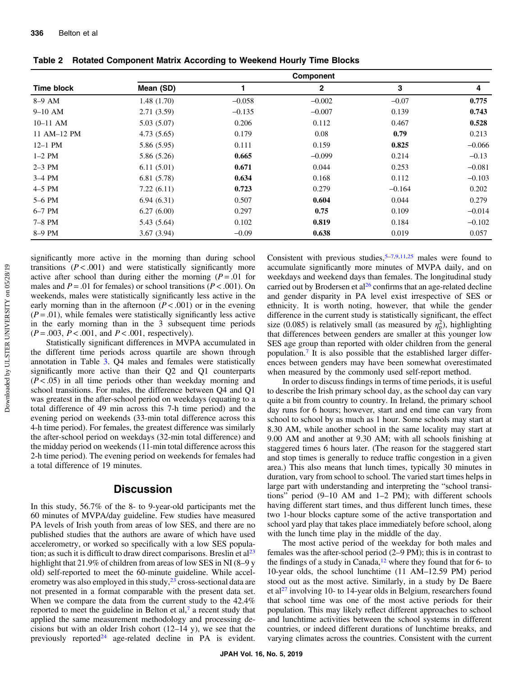|                   | <b>Component</b> |          |              |          |          |
|-------------------|------------------|----------|--------------|----------|----------|
| <b>Time block</b> | Mean (SD)        |          | $\mathbf{2}$ | 3        | 4        |
| $8-9$ AM          | 1.48(1.70)       | $-0.058$ | $-0.002$     | $-0.07$  | 0.775    |
| $9 - 10$ AM       | 2.71(3.59)       | $-0.135$ | $-0.007$     | 0.139    | 0.743    |
| $10-11$ AM        | 5.03(5.07)       | 0.206    | 0.112        | 0.467    | 0.528    |
| 11 AM-12 PM       | 4.73(5.65)       | 0.179    | 0.08         | 0.79     | 0.213    |
| $12-1$ PM         | 5.86 (5.95)      | 0.111    | 0.159        | 0.825    | $-0.066$ |
| $1-2$ PM          | 5.86 (5.26)      | 0.665    | $-0.099$     | 0.214    | $-0.13$  |
| $2-3$ PM          | 6.11(5.01)       | 0.671    | 0.044        | 0.253    | $-0.081$ |
| $3-4$ PM          | 6.81(5.78)       | 0.634    | 0.168        | 0.112    | $-0.103$ |
| $4-5$ PM          | 7.22(6.11)       | 0.723    | 0.279        | $-0.164$ | 0.202    |
| $5-6$ PM          | 6.94(6.31)       | 0.507    | 0.604        | 0.044    | 0.279    |
| $6-7$ PM          | 6.27(6.00)       | 0.297    | 0.75         | 0.109    | $-0.014$ |
| $7-8$ PM          | 5.43 (5.64)      | 0.102    | 0.819        | 0.184    | $-0.102$ |
| 8-9 PM            | 3.67(3.94)       | $-0.09$  | 0.638        | 0.019    | 0.057    |

<span id="page-3-0"></span>Table 2 Rotated Component Matrix According to Weekend Hourly Time Blocks

significantly more active in the morning than during school transitions  $(P < .001)$  and were statistically significantly more active after school than during either the morning  $(P = .01)$  for males and  $P = .01$  for females) or school transitions ( $P < .001$ ). On weekends, males were statistically significantly less active in the early morning than in the afternoon  $(P < .001)$  or in the evening  $(P = .01)$ , while females were statistically significantly less active in the early morning than in the 3 subsequent time periods  $(P = .003, P < .001,$  and  $P < .001$ , respectively).

Statistically significant differences in MVPA accumulated in the different time periods across quartile are shown through annotation in Table [3](#page-4-0). Q4 males and females were statistically significantly more active than their Q2 and Q1 counterparts  $(P < .05)$  in all time periods other than weekday morning and school transitions. For males, the difference between Q4 and Q1 was greatest in the after-school period on weekdays (equating to a total difference of 49 min across this 7-h time period) and the evening period on weekends (33-min total difference across this 4-h time period). For females, the greatest difference was similarly the after-school period on weekdays (32-min total difference) and the midday period on weekends (11-min total difference across this 2-h time period). The evening period on weekends for females had a total difference of 19 minutes.

### **Discussion**

In this study, 56.7% of the 8- to 9-year-old participants met the 60 minutes of MVPA/day guideline. Few studies have measured PA levels of Irish youth from areas of low SES, and there are no published studies that the authors are aware of which have used accelerometry, or worked so specifically with a low SES population; as such it is difficult to draw direct comparisons. Breslin et  $al<sup>23</sup>$  $al<sup>23</sup>$  $al<sup>23</sup>$ highlight that 21.9% of children from areas of low SES in NI (8–9 y old) self-reported to meet the 60-minute guideline. While accelerometry was also employed in this study, $2<sup>3</sup>$  cross-sectional data are not presented in a format comparable with the present data set. When we compare the data from the current study to the 42.4% reported to meet the guideline in Belton et al, $<sup>7</sup>$  $<sup>7</sup>$  $<sup>7</sup>$  a recent study that</sup> applied the same measurement methodology and processing decisions but with an older Irish cohort (12–14 y), we see that the previously reported<sup>[24](#page-6-0)</sup> age-related decline in PA is evident.

Consistent with previous studies,  $5-7,9,11,25$  $5-7,9,11,25$  $5-7,9,11,25$  $5-7,9,11,25$  males were found to accumulate significantly more minutes of MVPA daily, and on weekdays and weekend days than females. The longitudinal study carried out by Brodersen et al<sup>[26](#page-6-0)</sup> confirms that an age-related decline and gender disparity in PA level exist irrespective of SES or ethnicity. It is worth noting, however, that while the gender difference in the current study is statistically significant, the effect size (0.085) is relatively small (as measured by  $\eta_p^2$ ), highlighting that differences between genders are smaller at this younger low SES age group than reported with older children from the general population.[7](#page-5-0) It is also possible that the established larger differences between genders may have been somewhat overestimated when measured by the commonly used self-report method.

In order to discuss findings in terms of time periods, it is useful to describe the Irish primary school day, as the school day can vary quite a bit from country to country. In Ireland, the primary school day runs for 6 hours; however, start and end time can vary from school to school by as much as 1 hour. Some schools may start at 8.30 AM, while another school in the same locality may start at 9.00 AM and another at 9.30 AM; with all schools finishing at staggered times 6 hours later. (The reason for the staggered start and stop times is generally to reduce traffic congestion in a given area.) This also means that lunch times, typically 30 minutes in duration, vary from school to school. The varied start times helps in large part with understanding and interpreting the "school transitions" period (9–10 AM and 1–2 PM); with different schools having different start times, and thus different lunch times, these two 1-hour blocks capture some of the active transportation and school yard play that takes place immediately before school, along with the lunch time play in the middle of the day.

The most active period of the weekday for both males and females was the after-school period (2–9 PM); this is in contrast to the findings of a study in Canada, $12$  where they found that for 6- to 10-year olds, the school lunchtime (11 AM–12.59 PM) period stood out as the most active. Similarly, in a study by De Baere et al<sup>[27](#page-6-0)</sup> involving 10- to 14-year olds in Belgium, researchers found that school time was one of the most active periods for their population. This may likely reflect different approaches to school and lunchtime activities between the school systems in different countries, or indeed different durations of lunchtime breaks, and varying climates across the countries. Consistent with the current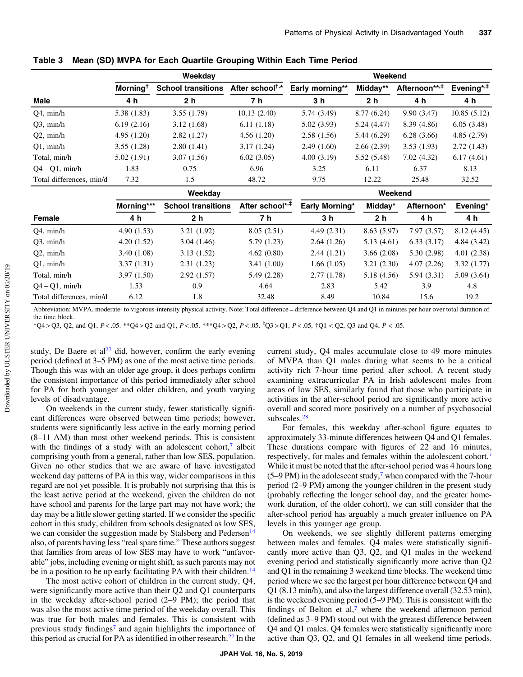|                          | Weekday              |                           |                             | Weekend         |                |                           |                      |
|--------------------------|----------------------|---------------------------|-----------------------------|-----------------|----------------|---------------------------|----------------------|
|                          | Morning <sup>t</sup> | <b>School transitions</b> | After school <sup>†,*</sup> | Early morning** | Midday**       | Afternoon*** <sup>+</sup> | Evening*, $\ddagger$ |
| Male                     | 4 h                  | 2 <sub>h</sub>            | 7 h                         | 3 <sub>h</sub>  | 2 <sub>h</sub> | 4 h                       | 4 h                  |
| $Q4$ , min/h             | 5.38(1.83)           | 3.55(1.79)                | 10.13(2.40)                 | 5.74(3.49)      | 8.77 (6.24)    | 9.90(3.47)                | 10.85(5.12)          |
| Q3, min/h                | 6.19(2.16)           | 3.12(1.68)                | 6.11(1.18)                  | 5.02(3.93)      | 5.24(4.47)     | 8.39 (4.86)               | 6.05(3.48)           |
| $Q2$ , min/h             | 4.95(1.20)           | 2.82(1.27)                | 4.56(1.20)                  | 2.58(1.56)      | 5.44(6.29)     | 6.28(3.66)                | 4.85(2.79)           |
| $Q1$ , min/h             | 3.55(1.28)           | 2.80(1.41)                | 3.17(1.24)                  | 2.49(1.60)      | 2.66(2.39)     | 3.53(1.93)                | 2.72(1.43)           |
| Total, min/h             | 5.02(1.91)           | 3.07(1.56)                | 6.02(3.05)                  | 4.00(3.19)      | 5.52(5.48)     | 7.02(4.32)                | 6.17(4.61)           |
| $Q4 - Q1$ , min/h        | 1.83                 | 0.75                      | 6.96                        | 3.25            | 6.11           | 6.37                      | 8.13                 |
| Total differences, min/d | 7.32                 | 1.5                       | 48.72                       | 9.75            | 12.22          | 25.48                     | 32.52                |
|                          | Weekday              |                           |                             | Weekend         |                |                           |                      |
|                          | Morning***           | <b>School transitions</b> | After school* <sup>,‡</sup> | Early Morning*  | Midday*        | Afternoon*                | Evening*             |
| Female                   | 4 h                  | 2 <sub>h</sub>            | 7 h                         | 3 h             | 2 <sub>h</sub> | 4 h                       | 4 h                  |
| Q4, min/h                | 4.90(1.53)           | 3.21(1.92)                | 8.05(2.51)                  | 4.49(2.31)      | 8.63(5.97)     | 7.97(3.57)                | 8.12 (4.45)          |
| Q3, min/h                | 4.20(1.52)           | 3.04(1.46)                | 5.79(1.23)                  | 2.64(1.26)      | 5.13(4.61)     | 6.33(3.17)                | 4.84 (3.42)          |
| $Q2$ , min/h             | 3.40(1.08)           | 3.13(1.52)                | 4.62(0.80)                  | 2.44(1.21)      | 3.66(2.08)     | 5.30 (2.98)               | 4.01(2.38)           |
| $Q1$ , min/h             | 3.37(1.31)           | 2.31(1.23)                | 3.41(1.00)                  | 1.66(1.05)      | 3.21(2.30)     | 4.07(2.26)                | 3.32(1.77)           |
| Total, min/h             | 3.97(1.50)           | 2.92(1.57)                | 5.49(2.28)                  | 2.77(1.78)      | 5.18 (4.56)    | 5.94(3.31)                | 5.09(3.64)           |
| $Q4 - Q1$ , min/h        | 1.53                 | 0.9                       | 4.64                        | 2.83            | 5.42           | 3.9                       | 4.8                  |
| Total differences, min/d | 6.12                 | 1.8                       | 32.48                       | 8.49            | 10.84          | 15.6                      | 19.2                 |

<span id="page-4-0"></span>Table 3 Mean (SD) MVPA for Each Quartile Grouping Within Each Time Period

Abbreviation: MVPA, moderate- to vigorous-intensity physical activity. Note: Total difference = difference between O4 and O1 in minutes per hour over total duration of the time block.

\*Q4 > Q3, Q2, and Q1,  $P < .05$ . \*\*Q4 > Q2 and Q1,  $P < .05$ . \*\*\*Q4 > Q2,  $P < .05$ . \*Q3 > Q1,  $P < .05$ , †Q1 < Q2, Q3 and Q4,  $P < .05$ .

study, De Baere et al<sup>[27](#page-6-0)</sup> did, however, confirm the early evening period (defined at 3–5 PM) as one of the most active time periods. Though this was with an older age group, it does perhaps confirm the consistent importance of this period immediately after school for PA for both younger and older children, and youth varying levels of disadvantage.

On weekends in the current study, fewer statistically significant differences were observed between time periods; however, students were significantly less active in the early morning period (8–11 AM) than most other weekend periods. This is consistent with the findings of a study with an adolescent cohort, $7$  albeit comprising youth from a general, rather than low SES, population. Given no other studies that we are aware of have investigated weekend day patterns of PA in this way, wider comparisons in this regard are not yet possible. It is probably not surprising that this is the least active period at the weekend, given the children do not have school and parents for the large part may not have work; the day may be a little slower getting started. If we consider the specific cohort in this study, children from schools designated as low SES, we can consider the suggestion made by Stalsberg and Pedersen<sup>[14](#page-6-0)</sup> also, of parents having less "real spare time." These authors suggest that families from areas of low SES may have to work "unfavorable" jobs, including evening or night shift, as such parents may not be in a position to be up early facilitating PA with their children.<sup>[14](#page-6-0)</sup>

The most active cohort of children in the current study, Q4, were significantly more active than their Q2 and Q1 counterparts in the weekday after-school period (2–9 PM); the period that was also the most active time period of the weekday overall. This was true for both males and females. This is consistent with previous study finding[s7](#page-5-0) and again highlights the importance of this period as crucial for PA as identified in other research. $27$  In the

current study, Q4 males accumulate close to 49 more minutes of MVPA than Q1 males during what seems to be a critical activity rich 7-hour time period after school. A recent study examining extracurricular PA in Irish adolescent males from areas of low SES, similarly found that those who participate in activities in the after-school period are significantly more active overall and scored more positively on a number of psychosocial subscales.<sup>[28](#page-6-0)</sup>

For females, this weekday after-school figure equates to approximately 33-minute differences between Q4 and Q1 females. These durations compare with figures of 22 and 16 minutes, respectively, for males and females within the adolescent cohort[.7](#page-5-0) While it must be noted that the after-school period was 4 hours long  $(5–9 \text{ PM})$  in the adolescent study,<sup>7</sup> when compared with the 7-hour period (2–9 PM) among the younger children in the present study (probably reflecting the longer school day, and the greater homework duration, of the older cohort), we can still consider that the after-school period has arguably a much greater influence on PA levels in this younger age group.

On weekends, we see slightly different patterns emerging between males and females. Q4 males were statistically significantly more active than Q3, Q2, and Q1 males in the weekend evening period and statistically significantly more active than Q2 and Q1 in the remaining 3 weekend time blocks. The weekend time period where we see the largest per hour difference between Q4 and Q1 (8.13 min/h), and also the largest difference overall (32.53 min), is the weekend evening period (5–9 PM). This is consistent with the findings of Belton et al,<sup>[7](#page-5-0)</sup> where the weekend afternoon period (defined as 3–9 PM) stood out with the greatest difference between Q4 and Q1 males. Q4 females were statistically significantly more active than Q3, Q2, and Q1 females in all weekend time periods.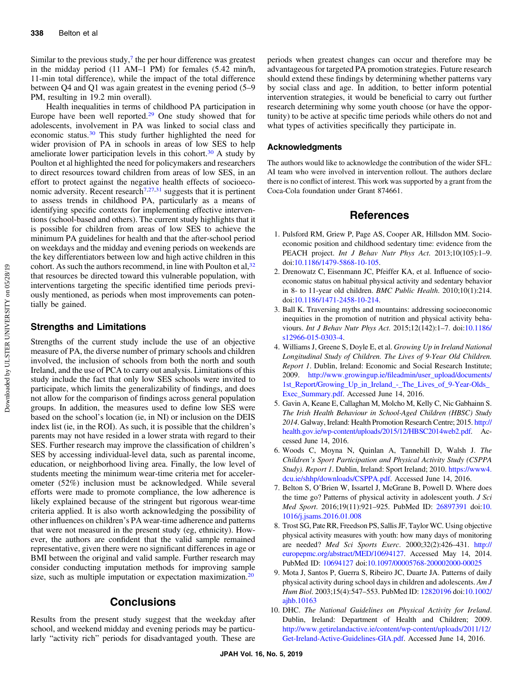<span id="page-5-0"></span>Similar to the previous study, $\frac{7}{1}$  the per hour difference was greatest in the midday period (11 AM–1 PM) for females (5.42 min/h, 11-min total difference), while the impact of the total difference between Q4 and Q1 was again greatest in the evening period (5–9 PM, resulting in 19.2 min overall).

Health inequalities in terms of childhood PA participation in Europe have been well reported[.29](#page-6-0) One study showed that for adolescents, involvement in PA was linked to social class and economic status[.30](#page-6-0) This study further highlighted the need for wider provision of PA in schools in areas of low SES to help ameliorate lower participation levels in this cohort. $30$  A study by Poulton et al highlighted the need for policymakers and researchers to direct resources toward children from areas of low SES, in an effort to protect against the negative health effects of socioeconomic adversity. Recent research<sup> $7,27,31$  $7,27,31$ </sup> suggests that it is pertinent to assess trends in childhood PA, particularly as a means of identifying specific contexts for implementing effective interventions (school-based and others). The current study highlights that it is possible for children from areas of low SES to achieve the minimum PA guidelines for health and that the after-school period on weekdays and the midday and evening periods on weekends are the key differentiators between low and high active children in this cohort. As such the authors recommend, in line with Poulton et al,  $32$ that resources be directed toward this vulnerable population, with interventions targeting the specific identified time periods previously mentioned, as periods when most improvements can potentially be gained.

#### Strengths and Limitations

Strengths of the current study include the use of an objective measure of PA, the diverse number of primary schools and children involved, the inclusion of schools from both the north and south Ireland, and the use of PCA to carry out analysis. Limitations of this study include the fact that only low SES schools were invited to participate, which limits the generalizability of findings, and does not allow for the comparison of findings across general population groups. In addition, the measures used to define low SES were based on the school's location (ie, in NI) or inclusion on the DEIS index list (ie, in the ROI). As such, it is possible that the children's parents may not have resided in a lower strata with regard to their SES. Further research may improve the classification of children's SES by accessing individual-level data, such as parental income, education, or neighborhood living area. Finally, the low level of students meeting the minimum wear-time criteria met for accelerometer (52%) inclusion must be acknowledged. While several efforts were made to promote compliance, the low adherence is likely explained because of the stringent but rigorous wear-time criteria applied. It is also worth acknowledging the possibility of other influences on children's PA wear-time adherence and patterns that were not measured in the present study (eg, ethnicity). However, the authors are confident that the valid sample remained representative, given there were no significant differences in age or BMI between the original and valid sample. Further research may consider conducting imputation methods for improving sample size, such as multiple imputation or expectation maximization.<sup>20</sup>

# **Conclusions**

Results from the present study suggest that the weekday after school, and weekend midday and evening periods may be particularly "activity rich" periods for disadvantaged youth. These are

periods when greatest changes can occur and therefore may be advantageous for targeted PA promotion strategies. Future research should extend these findings by determining whether patterns vary by social class and age. In addition, to better inform potential intervention strategies, it would be beneficial to carry out further research determining why some youth choose (or have the opportunity) to be active at specific time periods while others do not and what types of activities specifically they participate in.

#### Acknowledgments

The authors would like to acknowledge the contribution of the wider SFL: AI team who were involved in intervention rollout. The authors declare there is no conflict of interest. This work was supported by a grant from the Coca-Cola foundation under Grant 874661.

# References

- 1. Pulsford RM, Griew P, Page AS, Cooper AR, Hillsdon MM. Socioeconomic position and childhood sedentary time: evidence from the PEACH project. Int J Behav Nutr Phys Act. 2013;10(105):1-9. doi:[10.1186/1479-5868-10-105.](https://doi.org/10.1186/1479-5868-10-105)
- 2. Drenowatz C, Eisenmann JC, Pfeiffer KA, et al. Influence of socioeconomic status on habitual physical activity and sedentary behavior in 8- to 11-year old children. BMC Public Health. 2010;10(1):214. doi:[10.1186/1471-2458-10-214.](https://doi.org/10.1186/1471-2458-10-214)
- 3. Ball K. Traversing myths and mountains: addressing socioeconomic inequities in the promotion of nutrition and physical activity behaviours. Int J Behav Nutr Phys Act. 2015;12(142):1–7. doi[:10.1186/](https://doi.org/10.1186/s12966-015-0303-4) [s12966-015-0303-4](https://doi.org/10.1186/s12966-015-0303-4).
- 4. Williams J, Greene S, Doyle E, et al. Growing Up in Ireland National Longitudinal Study of Children. The Lives of 9-Year Old Children. Report 1. Dublin, Ireland: Economic and Social Research Institute; 2009. http://www.growingup.ie/fi[leadmin/user\\_upload/documents/](http://www.growingup.ie/fileadmin/user_upload/documents/1st_Report/Growing_Up_in_Ireland_-_The_Lives_of_9-Year-Olds_Exec_Summary.pdf) [1st\\_Report/Growing\\_Up\\_in\\_Ireland\\_-\\_The\\_Lives\\_of\\_9-Year-Olds\\_](http://www.growingup.ie/fileadmin/user_upload/documents/1st_Report/Growing_Up_in_Ireland_-_The_Lives_of_9-Year-Olds_Exec_Summary.pdf) [Exec\\_Summary.pdf](http://www.growingup.ie/fileadmin/user_upload/documents/1st_Report/Growing_Up_in_Ireland_-_The_Lives_of_9-Year-Olds_Exec_Summary.pdf). Accessed June 14, 2016.
- 5. Gavin A, Keane E, Callaghan M, Molcho M, Kelly C, Nic Gabhainn S. The Irish Health Behaviour in School-Aged Children (HBSC) Study 2014. Galway, Ireland: Health Promotion Research Centre; 2015. [http://](http://health.gov.ie/wp-content/uploads/2015/12/HBSC2014web2.pdf) [health.gov.ie/wp-content/uploads/2015/12/HBSC2014web2.pdf](http://health.gov.ie/wp-content/uploads/2015/12/HBSC2014web2.pdf). Accessed June 14, 2016.
- 6. Woods C, Moyna N, Quinlan A, Tannehill D, Walsh J. The Children's Sport Participation and Physical Activity Study (CSPPA Study). Report 1. Dublin, Ireland: Sport Ireland; 2010. [https://www4.](https://www4.dcu.ie/shhp/downloads/CSPPA.pdf) [dcu.ie/shhp/downloads/CSPPA.pdf.](https://www4.dcu.ie/shhp/downloads/CSPPA.pdf) Accessed June 14, 2016.
- 7. Belton S, O'Brien W, Issartel J, McGrane B, Powell D. Where does the time go? Patterns of physical activity in adolescent youth. J Sci Med Sport. 2016;19(11):921–925. PubMed ID: [26897391](http://www.ncbi.nlm.nih.gov/pubmed/26897391?dopt=Abstract) doi:[10.](https://doi.org/10.1016/j.jsams.2016.01.008) [1016/j.jsams.2016.01.008](https://doi.org/10.1016/j.jsams.2016.01.008)
- 8. Trost SG, Pate RR, Freedson PS, Sallis JF, Taylor WC. Using objective physical activity measures with youth: how many days of monitoring are needed? Med Sci Sports Exerc. 2000;32(2):426–431. [http://](http://europepmc.org/abstract/MED/10694127) [europepmc.org/abstract/MED/10694127.](http://europepmc.org/abstract/MED/10694127) Accessed May 14, 2014. PubMed ID: [10694127](http://www.ncbi.nlm.nih.gov/pubmed/10694127?dopt=Abstract) doi[:10.1097/00005768-200002000-00025](https://doi.org/10.1097/00005768-200002000-00025)
- 9. Mota J, Santos P, Guerra S, Ribeiro JC, Duarte JA. Patterns of daily physical activity during school days in children and adolescents. Am J Hum Biol. 2003;15(4):547–553. PubMed ID: [12820196](http://www.ncbi.nlm.nih.gov/pubmed/12820196?dopt=Abstract) doi[:10.1002/](https://doi.org/10.1002/ajhb.10163) [ajhb.10163](https://doi.org/10.1002/ajhb.10163)
- 10. DHC. The National Guidelines on Physical Activity for Ireland. Dublin, Ireland: Department of Health and Children; 2009. [http://www.getirelandactive.ie/content/wp-content/uploads/2011/12/](http://www.getirelandactive.ie/content/wp-content/uploads/2011/12/Get-Ireland-Active-Guidelines-GIA.pdf) [Get-Ireland-Active-Guidelines-GIA.pdf.](http://www.getirelandactive.ie/content/wp-content/uploads/2011/12/Get-Ireland-Active-Guidelines-GIA.pdf) Accessed June 14, 2016.